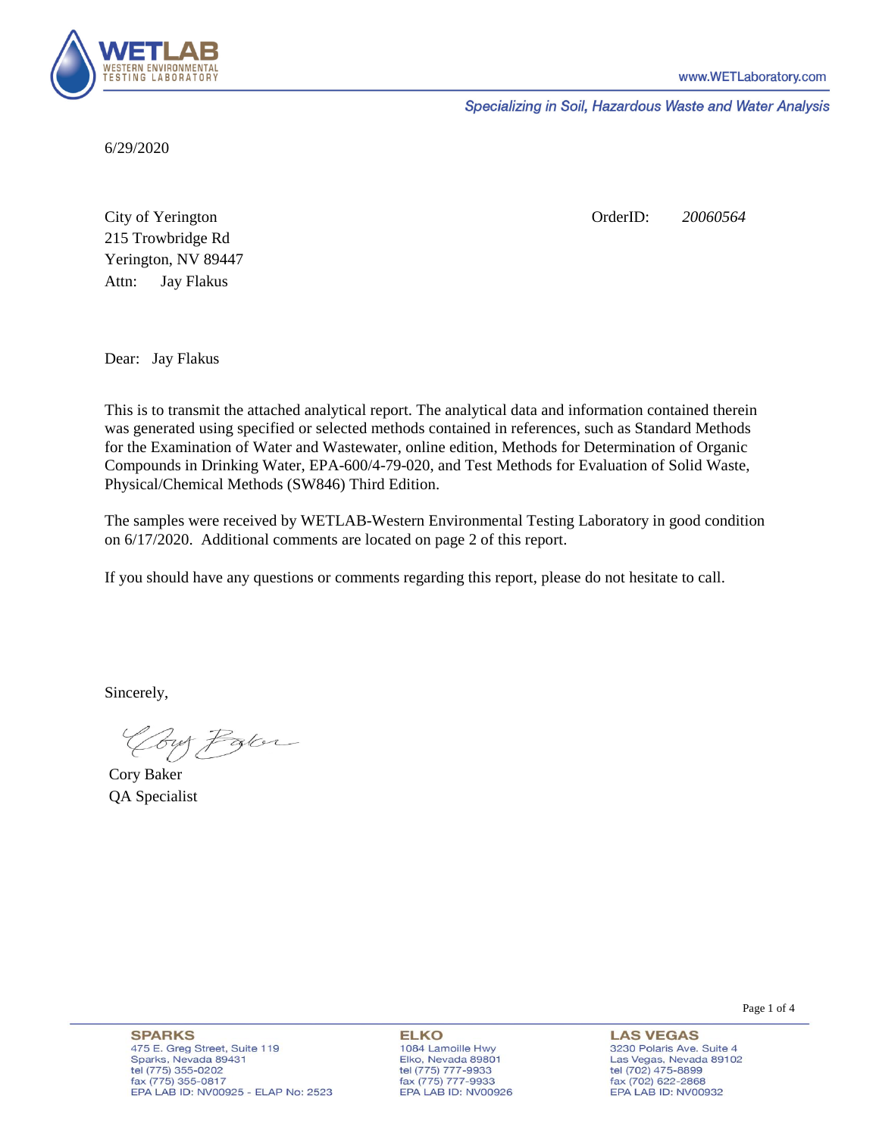

Specializing in Soil, Hazardous Waste and Water Analysis

6/29/2020

Attn: City of Yerington 215 Trowbridge Rd Jay Flakus Yerington, NV 89447 OrderID: *20060564*

Dear: Jay Flakus

This is to transmit the attached analytical report. The analytical data and information contained therein was generated using specified or selected methods contained in references, such as Standard Methods for the Examination of Water and Wastewater, online edition, Methods for Determination of Organic Compounds in Drinking Water, EPA-600/4-79-020, and Test Methods for Evaluation of Solid Waste, Physical/Chemical Methods (SW846) Third Edition.

The samples were received by WETLAB-Western Environmental Testing Laboratory in good condition on 6/17/2020. Additional comments are located on page 2 of this report.

If you should have any questions or comments regarding this report, please do not hesitate to call.

Sincerely,

Coy Palor

Cory Baker QA Specialist

**ELKO** 1084 Lamoille Hwy Elko, Nevada 89801 tel (775) 777-9933<br>fax (775) 777-9933 EPA LAB ID: NV00926

**LAS VEGAS** 3230 Polaris Ave. Suite 4 Las Vegas, Nevada 89102 tel (702) 475-8899 fax (702) 622-2868 EPA LAB ID: NV00932

Page 1 of 4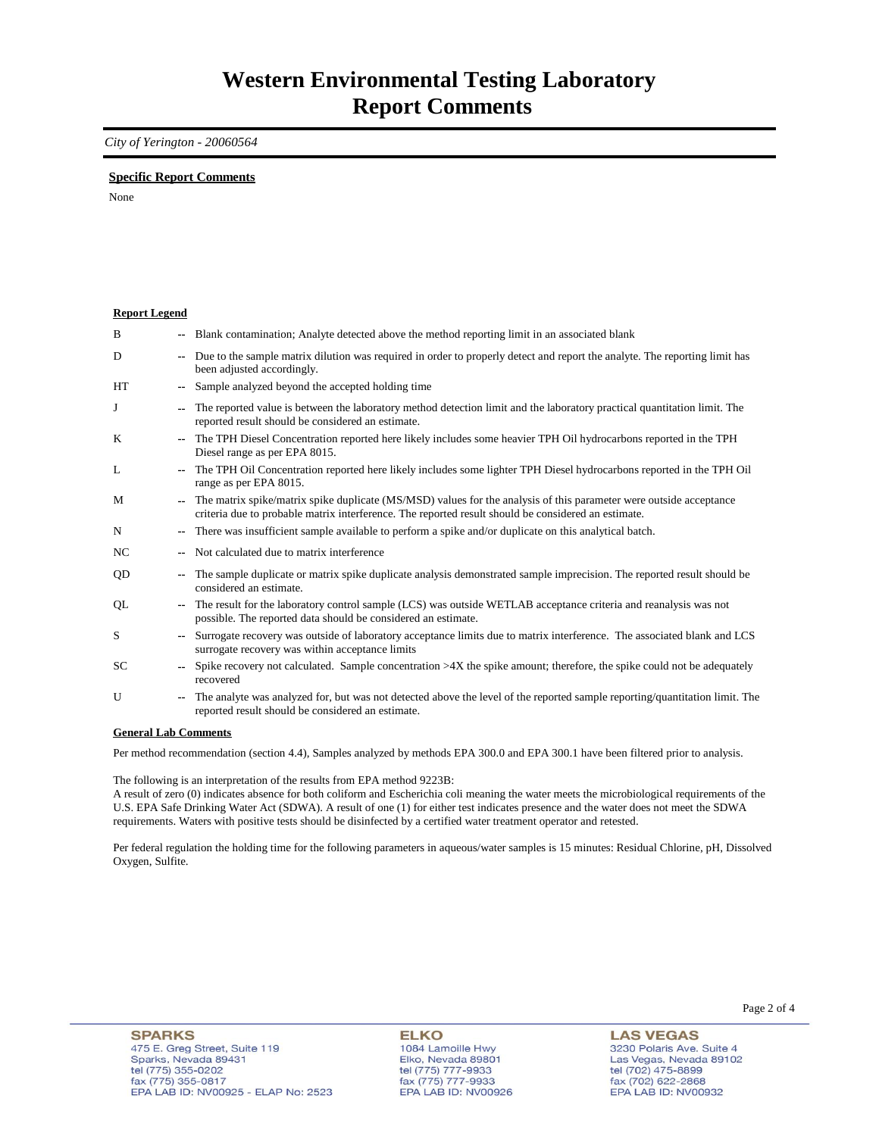### *City of Yerington - 20060564*

### **Specific Report Comments**

None

| <b>Report Legend</b>             |                          |                                                                                                                                                                                                                           |
|----------------------------------|--------------------------|---------------------------------------------------------------------------------------------------------------------------------------------------------------------------------------------------------------------------|
| B                                |                          | Blank contamination; Analyte detected above the method reporting limit in an associated blank                                                                                                                             |
| D                                | ۰.                       | Due to the sample matrix dilution was required in order to properly detect and report the analyte. The reporting limit has<br>been adjusted accordingly.                                                                  |
| HT                               | $-1$                     | Sample analyzed beyond the accepted holding time                                                                                                                                                                          |
| J                                |                          | The reported value is between the laboratory method detection limit and the laboratory practical quantitation limit. The<br>reported result should be considered an estimate.                                             |
| K                                |                          | The TPH Diesel Concentration reported here likely includes some heavier TPH Oil hydrocarbons reported in the TPH<br>Diesel range as per EPA 8015.                                                                         |
| L                                | $\overline{\phantom{a}}$ | The TPH Oil Concentration reported here likely includes some lighter TPH Diesel hydrocarbons reported in the TPH Oil<br>range as per EPA 8015.                                                                            |
| M                                |                          | The matrix spike/matrix spike duplicate (MS/MSD) values for the analysis of this parameter were outside acceptance<br>criteria due to probable matrix interference. The reported result should be considered an estimate. |
| N                                | ۰.                       | There was insufficient sample available to perform a spike and/or duplicate on this analytical batch.                                                                                                                     |
| <b>NC</b>                        |                          | Not calculated due to matrix interference                                                                                                                                                                                 |
| QD                               | ۰.                       | The sample duplicate or matrix spike duplicate analysis demonstrated sample imprecision. The reported result should be<br>considered an estimate.                                                                         |
| QL                               | ٠.                       | The result for the laboratory control sample (LCS) was outside WETLAB acceptance criteria and reanalysis was not<br>possible. The reported data should be considered an estimate.                                         |
| S                                |                          | Surrogate recovery was outside of laboratory acceptance limits due to matrix interference. The associated blank and LCS<br>surrogate recovery was within acceptance limits                                                |
| SC                               |                          | Spike recovery not calculated. Sample concentration $>4X$ the spike amount; therefore, the spike could not be adequately<br>recovered                                                                                     |
| U                                |                          | The analyte was analyzed for, but was not detected above the level of the reported sample reporting/quantitation limit. The<br>reported result should be considered an estimate.                                          |
| $\alpha$ if $\alpha$ is $\alpha$ |                          |                                                                                                                                                                                                                           |

#### **General Lab Comments**

Per method recommendation (section 4.4), Samples analyzed by methods EPA 300.0 and EPA 300.1 have been filtered prior to analysis.

The following is an interpretation of the results from EPA method 9223B:

A result of zero (0) indicates absence for both coliform and Escherichia coli meaning the water meets the microbiological requirements of the U.S. EPA Safe Drinking Water Act (SDWA). A result of one (1) for either test indicates presence and the water does not meet the SDWA requirements. Waters with positive tests should be disinfected by a certified water treatment operator and retested.

Per federal regulation the holding time for the following parameters in aqueous/water samples is 15 minutes: Residual Chlorine, pH, Dissolved Oxygen, Sulfite.

**ELKO** 1084 Lamoille Hwy Elko, Nevada 89801 tel (775) 777-9933<br>fax (775) 777-9933 EPA LAB ID: NV00926

**LAS VEGAS** 3230 Polaris Ave. Suite 4 Las Vegas, Nevada 89102 tel (702) 475-8899<br>fax (702) 622-2868 EPA LAB ID: NV00932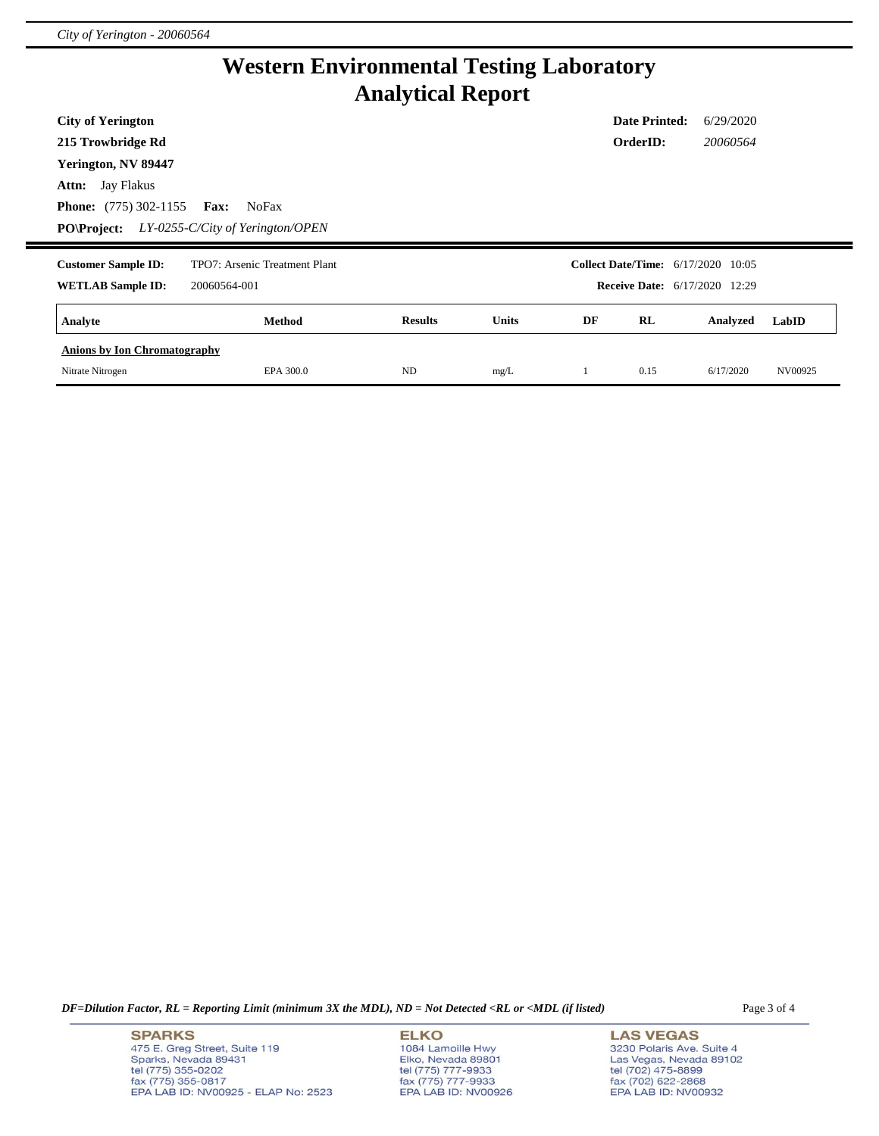# **Western Environmental Testing Laboratory Analytical Report**

| <b>City of Yerington</b>            |                                     |                |              |    | <b>Date Printed:</b> | 6/29/2020                                 |       |
|-------------------------------------|-------------------------------------|----------------|--------------|----|----------------------|-------------------------------------------|-------|
| 215 Trowbridge Rd                   |                                     |                |              |    | OrderID:             | 20060564                                  |       |
| Yerington, NV 89447                 |                                     |                |              |    |                      |                                           |       |
| <b>Attn:</b> Jay Flakus             |                                     |                |              |    |                      |                                           |       |
| <b>Phone:</b> (775) 302-1155        | <b>Fax:</b><br><b>NoFax</b>         |                |              |    |                      |                                           |       |
| <b>PO\Project:</b>                  | $LY$ -0255-C/City of Yerington/OPEN |                |              |    |                      |                                           |       |
|                                     |                                     |                |              |    |                      |                                           |       |
| <b>Customer Sample ID:</b>          | TPO7: Arsenic Treatment Plant       |                |              |    |                      | <b>Collect Date/Time:</b> 6/17/2020 10:05 |       |
| <b>WETLAB Sample ID:</b>            | 20060564-001                        |                |              |    |                      | <b>Receive Date:</b> 6/17/2020 12:29      |       |
| Analyte                             | Method                              | <b>Results</b> | <b>Units</b> | DF | RL                   | Analyzed                                  | LabID |
| <b>Anions by Ion Chromatography</b> |                                     |                |              |    |                      |                                           |       |

*DF=Dilution Factor, RL = Reporting Limit (minimum 3X the MDL), ND = Not Detected <RL or <MDL (if listed)* Page 3 of 4

**SPARKS** 475 E. Greg Street, Suite 119 Sparks, Nevada 89431<br>tel (775) 355-0202<br>fax (775) 355-0817 EPA LAB ID: NV00925 - ELAP No: 2523 **ELKO** 1084 Lamoille Hwy Elko, Nevada 89801<br>tel (775) 777-9933<br>fax (775) 777-9933 EPA LAB ID: NV00926

**LAS VEGAS** 3230 Polaris Ave. Suite 4 Las Vegas, Nevada 89102<br>tel (702) 475-8899<br>fax (702) 622-2868<br>EPA LAB ID: NV00932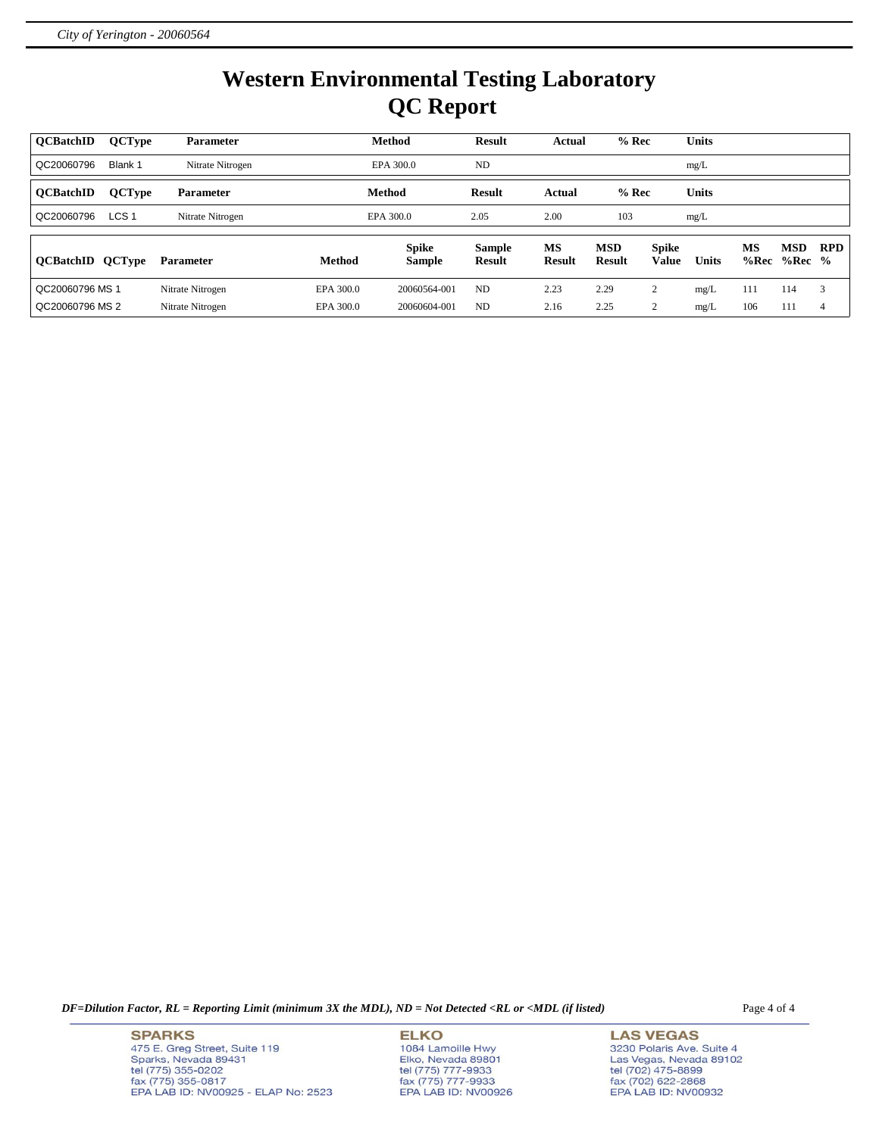# **Western Environmental Testing Laboratory QC Report**

| <b>OCBatchID</b> | <b>QCType</b>    | <b>Parameter</b> |               | <b>Method</b> | <b>Result</b> | Actual        | $%$ Rec       |              | <b>Units</b> |      |            |            |
|------------------|------------------|------------------|---------------|---------------|---------------|---------------|---------------|--------------|--------------|------|------------|------------|
| QC20060796       | Blank 1          | Nitrate Nitrogen |               | EPA 300.0     | <b>ND</b>     |               |               |              | mg/L         |      |            |            |
| <b>OCBatchID</b> | <b>QCType</b>    | <b>Parameter</b> |               | <b>Method</b> | <b>Result</b> | Actual        | $%$ Rec       |              | <b>Units</b> |      |            |            |
| QC20060796       | LCS <sub>1</sub> | Nitrate Nitrogen |               | EPA 300.0     | 2.05          | 2.00          | 103           |              | mg/L         |      |            |            |
|                  |                  |                  |               | <b>Spike</b>  | <b>Sample</b> | <b>MS</b>     | <b>MSD</b>    | <b>Spike</b> |              | MS   | <b>MSD</b> | <b>RPD</b> |
| <b>OCBatchID</b> | <b>QCType</b>    | <b>Parameter</b> | <b>Method</b> | <b>Sample</b> | <b>Result</b> | <b>Result</b> | <b>Result</b> | <b>Value</b> | <b>Units</b> | %Rec | $%Rec$ %   |            |
| QC20060796 MS 1  |                  | Nitrate Nitrogen | EPA 300.0     | 20060564-001  | <b>ND</b>     | 2.23          | 2.29          | ↑            | mg/L         | 111  | 114        | 3          |
| QC20060796 MS 2  |                  | Nitrate Nitrogen | EPA 300.0     | 20060604-001  | <b>ND</b>     | 2.16          | 2.25          | ◠            | mg/L         | 106  | 111        | 4          |

*DF=Dilution Factor, RL = Reporting Limit (minimum 3X the MDL), ND = Not Detected <RL or <MDL (if listed)* Page 4 of 4

**SPARKS** 475 E. Greg Street, Suite 119 Sparks, Nevada 89431<br>tel (775) 355-0202<br>fax (775) 355-0817 EPA LAB ID: NV00925 - ELAP No: 2523 **ELKO** 1084 Lamoille Hwy Elko, Nevada 89801<br>tel (775) 777-9933<br>fax (775) 777-9933 EPA LAB ID: NV00926

**LAS VEGAS** 3230 Polaris Ave. Suite 4 Las Vegas, Nevada 89102<br>tel (702) 475-8899<br>fax (702) 622-2868<br>EPA LAB ID: NV00932